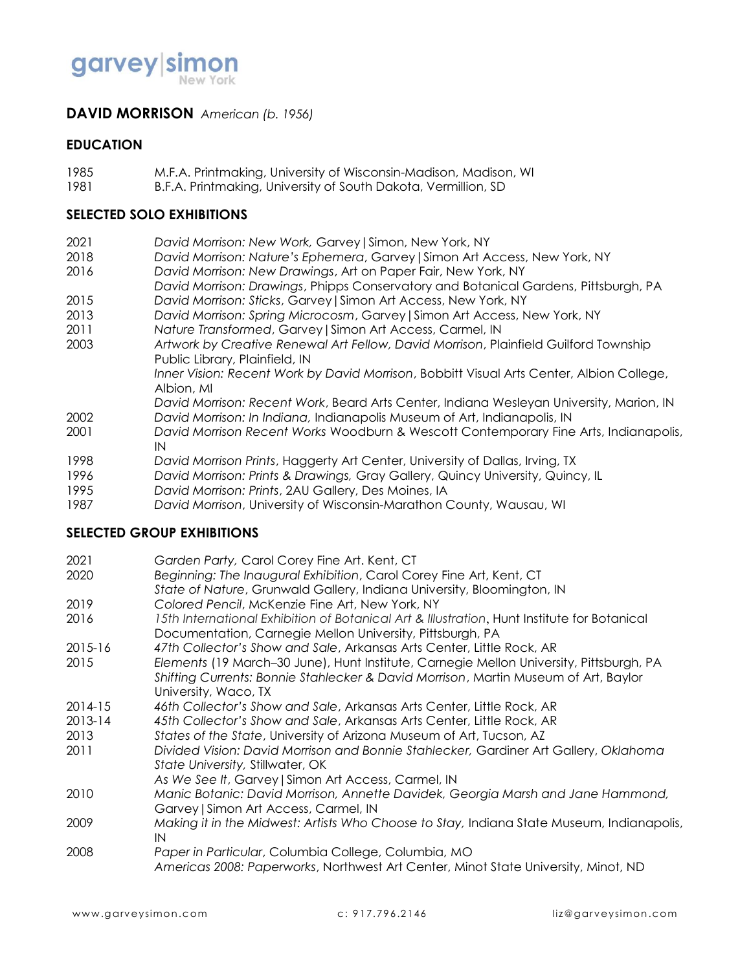

## **DAVID MORRISON** *American (b. 1956)*

### **EDUCATION**

- 1985 M.F.A. Printmaking, University of Wisconsin-Madison, Madison, WI
- 1981 B.F.A. Printmaking, University of South Dakota, Vermillion, SD

### **SELECTED SOLO EXHIBITIONS**

- 2021 *David Morrison: New Work,* Garvey|Simon, New York, NY
- 2018 *David Morrison: Nature's Ephemera*, Garvey|Simon Art Access, New York, NY
- 2016 *David Morrison: New Drawings*, Art on Paper Fair, New York, NY
- *David Morrison: Drawings*, Phipps Conservatory and Botanical Gardens, Pittsburgh, PA 2015 *David Morrison: Sticks*, Garvey|Simon Art Access, New York, NY
- 2013 *David Morrison: Spring Microcosm*, Garvey|Simon Art Access, New York, NY
- 2011 *Nature Transformed*, Garvey|Simon Art Access, Carmel, IN
- 2003 *Artwork by Creative Renewal Art Fellow, David Morrison*, Plainfield Guilford Township Public Library, Plainfield, IN
	- *Inner Vision: Recent Work by David Morrison*, Bobbitt Visual Arts Center, Albion College, Albion, MI
- *David Morrison: Recent Work*, Beard Arts Center, Indiana Wesleyan University, Marion, IN 2002 *David Morrison: In Indiana,* Indianapolis Museum of Art, Indianapolis, IN
- 2001 *David Morrison Recent Works* Woodburn & Wescott Contemporary Fine Arts, Indianapolis, IN
- 1998 *David Morrison Prints*, Haggerty Art Center, University of Dallas, Irving, TX
- 1996 *David Morrison: Prints & Drawings,* Gray Gallery, Quincy University, Quincy, IL
- 1995 *David Morrison: Prints*, 2AU Gallery, Des Moines, IA
- 1987 *David Morrison*, University of Wisconsin-Marathon County, Wausau, WI

#### **SELECTED GROUP EXHIBITIONS**

| 2021        | Garden Party, Carol Corey Fine Art. Kent, CT                                                                                                                                                           |
|-------------|--------------------------------------------------------------------------------------------------------------------------------------------------------------------------------------------------------|
| 2020        | Beginning: The Inaugural Exhibition, Carol Corey Fine Art, Kent, CT                                                                                                                                    |
| 2019        | State of Nature, Grunwald Gallery, Indiana University, Bloomington, IN<br>Colored Pencil, McKenzie Fine Art, New York, NY                                                                              |
| 2016        | 15th International Exhibition of Botanical Art & Illustration, Hunt Institute for Botanical<br>Documentation, Carnegie Mellon University, Pittsburgh, PA                                               |
| $2015 - 16$ | 47th Collector's Show and Sale, Arkansas Arts Center, Little Rock, AR                                                                                                                                  |
| 2015        | Elements (19 March–30 June), Hunt Institute, Carnegie Mellon University, Pittsburgh, PA<br>Shifting Currents: Bonnie Stahlecker & David Morrison, Martin Museum of Art, Baylor<br>University, Waco, TX |
| $2014 - 15$ | 46th Collector's Show and Sale, Arkansas Arts Center, Little Rock, AR                                                                                                                                  |
| 2013-14     | 45th Collector's Show and Sale, Arkansas Arts Center, Little Rock, AR                                                                                                                                  |
| 2013        | States of the State, University of Arizona Museum of Art, Tucson, AZ                                                                                                                                   |
| 2011        | Divided Vision: David Morrison and Bonnie Stahlecker, Gardiner Art Gallery, Oklahoma<br>State University, Stillwater, OK                                                                               |
|             | As We See It, Garvey   Simon Art Access, Carmel, IN                                                                                                                                                    |
| 2010        | Manic Botanic: David Morrison, Annette Davidek, Georgia Marsh and Jane Hammond,<br>Garvey   Simon Art Access, Carmel, IN                                                                               |
| 2009        | Making it in the Midwest: Artists Who Choose to Stay, Indiana State Museum, Indianapolis,<br>IN                                                                                                        |
| 2008        | Paper in Particular, Columbia College, Columbia, MO<br>Americas 2008: Paperworks, Northwest Art Center, Minot State University, Minot, ND                                                              |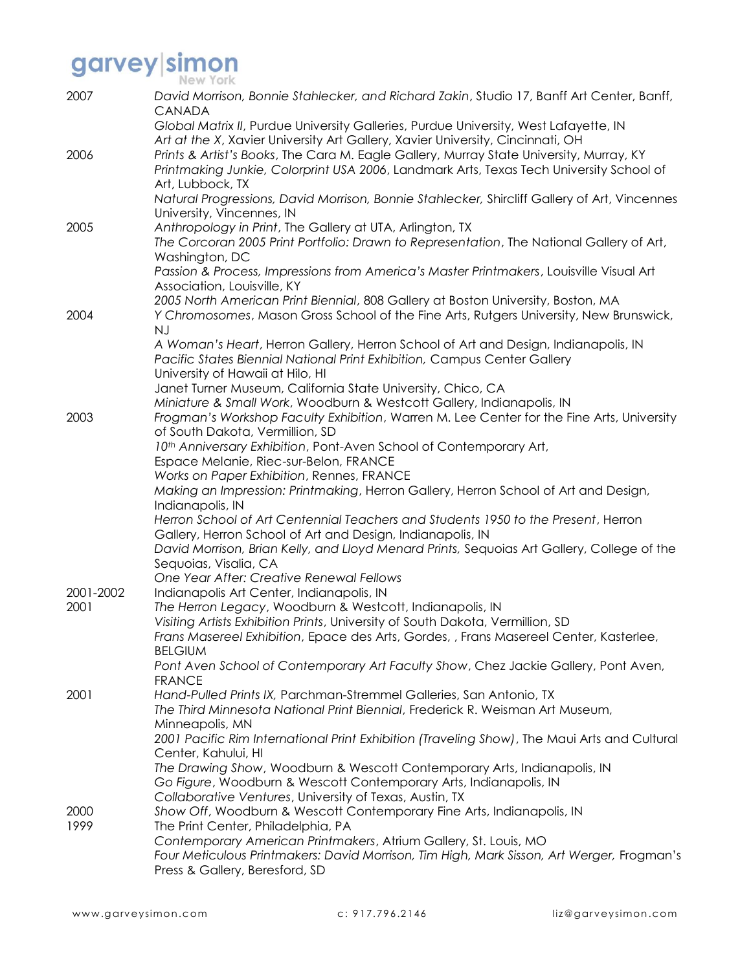| 2007      | David Morrison, Bonnie Stahlecker, and Richard Zakin, Studio 17, Banff Art Center, Banff,<br>CANADA                                                                                                |
|-----------|----------------------------------------------------------------------------------------------------------------------------------------------------------------------------------------------------|
|           | Global Matrix II, Purdue University Galleries, Purdue University, West Lafayette, IN<br>Art at the X, Xavier University Art Gallery, Xavier University, Cincinnati, OH                             |
| 2006      | Prints & Artist's Books, The Cara M. Eagle Gallery, Murray State University, Murray, KY<br>Printmaking Junkie, Colorprint USA 2006, Landmark Arts, Texas Tech University School of                 |
|           | Art, Lubbock, TX<br>Natural Progressions, David Morrison, Bonnie Stahlecker, Shircliff Gallery of Art, Vincennes<br>University, Vincennes, IN                                                      |
| 2005      | Anthropology in Print, The Gallery at UTA, Arlington, TX                                                                                                                                           |
|           | The Corcoran 2005 Print Portfolio: Drawn to Representation, The National Gallery of Art,<br>Washington, DC                                                                                         |
|           | Passion & Process, Impressions from America's Master Printmakers, Louisville Visual Art<br>Association, Louisville, KY                                                                             |
| 2004      | 2005 North American Print Biennial, 808 Gallery at Boston University, Boston, MA<br>Y Chromosomes, Mason Gross School of the Fine Arts, Rutgers University, New Brunswick,<br><b>NJ</b>            |
|           | A Woman's Heart, Herron Gallery, Herron School of Art and Design, Indianapolis, IN<br>Pacific States Biennial National Print Exhibition, Campus Center Gallery<br>University of Hawaii at Hilo, HI |
|           | Janet Turner Museum, California State University, Chico, CA                                                                                                                                        |
|           | Miniature & Small Work, Woodburn & Westcott Gallery, Indianapolis, IN                                                                                                                              |
| 2003      | Frogman's Workshop Faculty Exhibition, Warren M. Lee Center for the Fine Arts, University<br>of South Dakota, Vermillion, SD                                                                       |
|           | 10th Anniversary Exhibition, Pont-Aven School of Contemporary Art,                                                                                                                                 |
|           | Espace Melanie, Riec-sur-Belon, FRANCE                                                                                                                                                             |
|           | Works on Paper Exhibition, Rennes, FRANCE<br>Making an Impression: Printmaking, Herron Gallery, Herron School of Art and Design,                                                                   |
|           | Indianapolis, IN                                                                                                                                                                                   |
|           | Herron School of Art Centennial Teachers and Students 1950 to the Present, Herron                                                                                                                  |
|           | Gallery, Herron School of Art and Design, Indianapolis, IN<br>David Morrison, Brian Kelly, and Lloyd Menard Prints, Sequoias Art Gallery, College of the                                           |
|           | Sequoias, Visalia, CA                                                                                                                                                                              |
| 2001-2002 | One Year After: Creative Renewal Fellows<br>Indianapolis Art Center, Indianapolis, IN                                                                                                              |
| 2001      | The Herron Legacy, Woodburn & Westcott, Indianapolis, IN                                                                                                                                           |
|           | Visiting Artists Exhibition Prints, University of South Dakota, Vermillion, SD                                                                                                                     |
|           | Frans Masereel Exhibition, Epace des Arts, Gordes, , Frans Masereel Center, Kasterlee,<br><b>BELGIUM</b>                                                                                           |
|           | Pont Aven School of Contemporary Art Faculty Show, Chez Jackie Gallery, Pont Aven,<br><b>FRANCE</b>                                                                                                |
| 2001      | Hand-Pulled Prints IX, Parchman-Stremmel Galleries, San Antonio, TX                                                                                                                                |
|           | The Third Minnesota National Print Biennial, Frederick R. Weisman Art Museum,<br>Minneapolis, MN                                                                                                   |
|           | 2001 Pacific Rim International Print Exhibition (Traveling Show), The Maui Arts and Cultural<br>Center, Kahului, HI                                                                                |
|           | The Drawing Show, Woodburn & Wescott Contemporary Arts, Indianapolis, IN                                                                                                                           |
|           | Go Figure, Woodburn & Wescott Contemporary Arts, Indianapolis, IN                                                                                                                                  |
| 2000      | Collaborative Ventures, University of Texas, Austin, TX<br>Show Off, Woodburn & Wescott Contemporary Fine Arts, Indianapolis, IN                                                                   |
| 1999      | The Print Center, Philadelphia, PA                                                                                                                                                                 |
|           | Contemporary American Printmakers, Atrium Gallery, St. Louis, MO                                                                                                                                   |
|           | Four Meticulous Printmakers: David Morrison, Tim High, Mark Sisson, Art Werger, Frogman's<br>Press & Gallery, Beresford, SD                                                                        |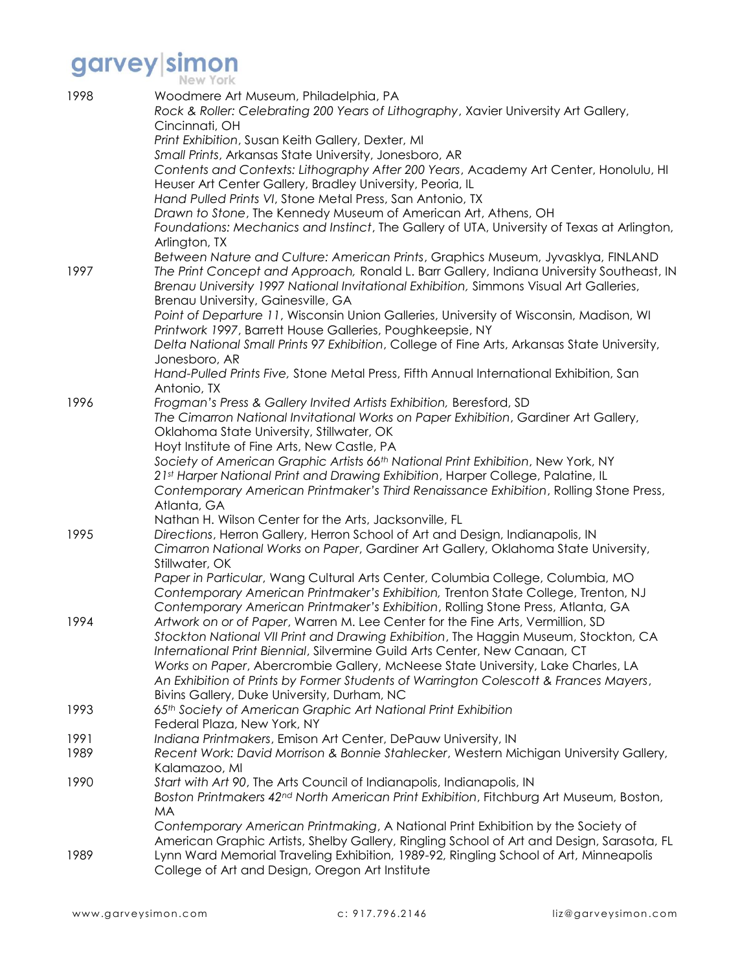| 1998         | Woodmere Art Museum, Philadelphia, PA<br>Rock & Roller: Celebrating 200 Years of Lithography, Xavier University Art Gallery,<br>Cincinnati, OH                                     |
|--------------|------------------------------------------------------------------------------------------------------------------------------------------------------------------------------------|
|              | Print Exhibition, Susan Keith Gallery, Dexter, MI                                                                                                                                  |
|              | Small Prints, Arkansas State University, Jonesboro, AR                                                                                                                             |
|              | Contents and Contexts: Lithography After 200 Years, Academy Art Center, Honolulu, HI                                                                                               |
|              | Heuser Art Center Gallery, Bradley University, Peoria, IL                                                                                                                          |
|              | Hand Pulled Prints VI, Stone Metal Press, San Antonio, TX                                                                                                                          |
|              | Drawn to Stone, The Kennedy Museum of American Art, Athens, OH                                                                                                                     |
|              | Foundations: Mechanics and Instinct, The Gallery of UTA, University of Texas at Arlington,<br>Arlington, TX                                                                        |
|              | Between Nature and Culture: American Prints, Graphics Museum, Jyvasklya, FINLAND                                                                                                   |
| 1997         | The Print Concept and Approach, Ronald L. Barr Gallery, Indiana University Southeast, IN<br>Brenau University 1997 National Invitational Exhibition, Simmons Visual Art Galleries, |
|              | Brenau University, Gainesville, GA<br>Point of Departure 11, Wisconsin Union Galleries, University of Wisconsin, Madison, WI                                                       |
|              | Printwork 1997, Barrett House Galleries, Poughkeepsie, NY                                                                                                                          |
|              | Delta National Small Prints 97 Exhibition, College of Fine Arts, Arkansas State University,                                                                                        |
|              | Jonesboro, AR                                                                                                                                                                      |
|              | Hand-Pulled Prints Five, Stone Metal Press, Fifth Annual International Exhibition, San<br>Antonio, TX                                                                              |
| 1996         | Frogman's Press & Gallery Invited Artists Exhibition, Beresford, SD                                                                                                                |
|              | The Cimarron National Invitational Works on Paper Exhibition, Gardiner Art Gallery,                                                                                                |
|              | Oklahoma State University, Stillwater, OK                                                                                                                                          |
|              | Hoyt Institute of Fine Arts, New Castle, PA                                                                                                                                        |
|              | Society of American Graphic Artists 66 <sup>th</sup> National Print Exhibition, New York, NY                                                                                       |
|              | 21st Harper National Print and Drawing Exhibition, Harper College, Palatine, IL                                                                                                    |
|              | Contemporary American Printmaker's Third Renaissance Exhibition, Rolling Stone Press,<br>Atlanta, GA                                                                               |
|              | Nathan H. Wilson Center for the Arts, Jacksonville, FL                                                                                                                             |
| 1995         | Directions, Herron Gallery, Herron School of Art and Design, Indianapolis, IN                                                                                                      |
|              | Cimarron National Works on Paper, Gardiner Art Gallery, Oklahoma State University,                                                                                                 |
|              | Stillwater, OK                                                                                                                                                                     |
|              | Paper in Particular, Wang Cultural Arts Center, Columbia College, Columbia, MO<br>Contemporary American Printmaker's Exhibition, Trenton State College, Trenton, NJ                |
|              | Contemporary American Printmaker's Exhibition, Rolling Stone Press, Atlanta, GA                                                                                                    |
| 1994         | Artwork on or of Paper, Warren M. Lee Center for the Fine Arts, Vermillion, SD                                                                                                     |
|              | Stockton National VII Print and Drawing Exhibition, The Haggin Museum, Stockton, CA                                                                                                |
|              | International Print Biennial, Silvermine Guild Arts Center, New Canaan, CT                                                                                                         |
|              | Works on Paper, Abercrombie Gallery, McNeese State University, Lake Charles, LA                                                                                                    |
|              | An Exhibition of Prints by Former Students of Warrington Colescott & Frances Mayers,                                                                                               |
|              | Bivins Gallery, Duke University, Durham, NC                                                                                                                                        |
| 1993         | 65th Society of American Graphic Art National Print Exhibition                                                                                                                     |
|              | Federal Plaza, New York, NY                                                                                                                                                        |
| 1991<br>1989 | Indiana Printmakers, Emison Art Center, DePauw University, IN<br>Recent Work: David Morrison & Bonnie Stahlecker, Western Michigan University Gallery,                             |
|              | Kalamazoo, MI                                                                                                                                                                      |
| 1990         | Start with Art 90, The Arts Council of Indianapolis, Indianapolis, IN                                                                                                              |
|              | Boston Printmakers 42 <sup>nd</sup> North American Print Exhibition, Fitchburg Art Museum, Boston,                                                                                 |
|              | <b>MA</b>                                                                                                                                                                          |
|              | Contemporary American Printmaking, A National Print Exhibition by the Society of                                                                                                   |
|              | American Graphic Artists, Shelby Gallery, Ringling School of Art and Design, Sarasota, FL                                                                                          |
| 1989         | Lynn Ward Memorial Traveling Exhibition, 1989-92, Ringling School of Art, Minneapolis<br>College of Art and Design, Oregon Art Institute                                           |
|              |                                                                                                                                                                                    |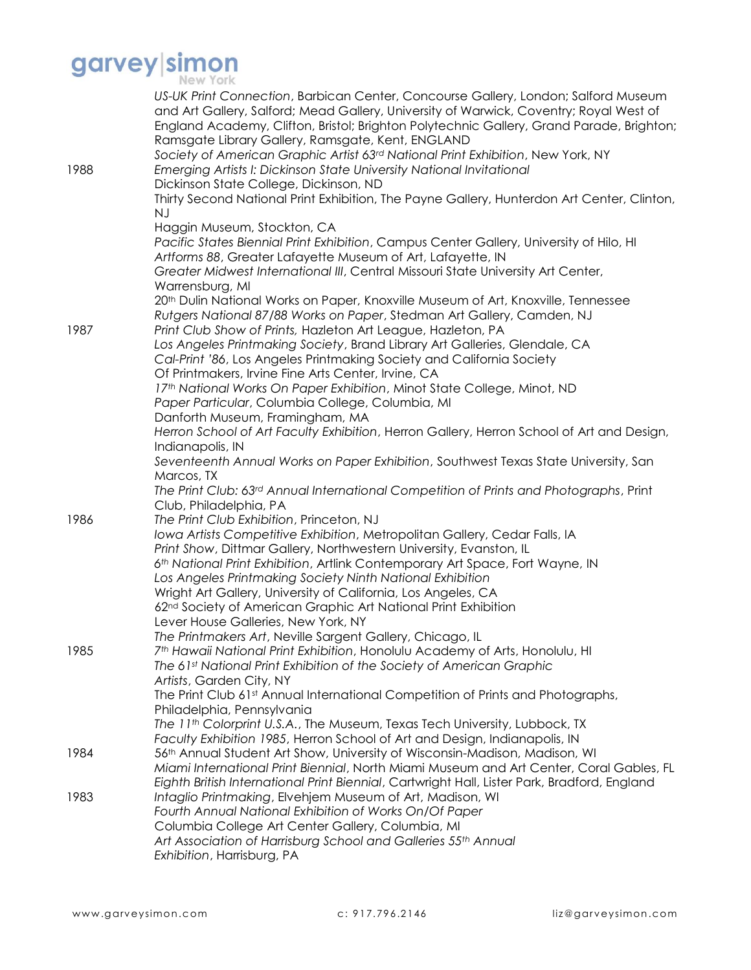| 1988 | US-UK Print Connection, Barbican Center, Concourse Gallery, London; Salford Museum<br>and Art Gallery, Salford; Mead Gallery, University of Warwick, Coventry; Royal West of<br>England Academy, Clifton, Bristol; Brighton Polytechnic Gallery, Grand Parade, Brighton;<br>Ramsgate Library Gallery, Ramsgate, Kent, ENGLAND<br>Society of American Graphic Artist 63rd National Print Exhibition, New York, NY<br>Emerging Artists I: Dickinson State University National Invitational<br>Dickinson State College, Dickinson, ND<br>Thirty Second National Print Exhibition, The Payne Gallery, Hunterdon Art Center, Clinton,<br><b>NJ</b>                                                                                                                                                                                                                                                                                                                                                                        |
|------|----------------------------------------------------------------------------------------------------------------------------------------------------------------------------------------------------------------------------------------------------------------------------------------------------------------------------------------------------------------------------------------------------------------------------------------------------------------------------------------------------------------------------------------------------------------------------------------------------------------------------------------------------------------------------------------------------------------------------------------------------------------------------------------------------------------------------------------------------------------------------------------------------------------------------------------------------------------------------------------------------------------------|
| 1987 | Haggin Museum, Stockton, CA<br>Pacific States Biennial Print Exhibition, Campus Center Gallery, University of Hilo, HI<br>Artforms 88, Greater Lafayette Museum of Art, Lafayette, IN<br>Greater Midwest International III, Central Missouri State University Art Center,<br>Warrensburg, MI<br>20 <sup>th</sup> Dulin National Works on Paper, Knoxville Museum of Art, Knoxville, Tennessee<br>Rutgers National 87/88 Works on Paper, Stedman Art Gallery, Camden, NJ<br>Print Club Show of Prints, Hazleton Art League, Hazleton, PA<br>Los Angeles Printmaking Society, Brand Library Art Galleries, Glendale, CA<br>Cal-Print '86, Los Angeles Printmaking Society and California Society<br>Of Printmakers, Irvine Fine Arts Center, Irvine, CA<br>17th National Works On Paper Exhibition, Minot State College, Minot, ND<br>Paper Particular, Columbia College, Columbia, MI<br>Danforth Museum, Framingham, MA<br>Herron School of Art Faculty Exhibition, Herron Gallery, Herron School of Art and Design, |
| 1986 | Indianapolis, IN<br>Seventeenth Annual Works on Paper Exhibition, Southwest Texas State University, San<br>Marcos, TX<br>The Print Club: 63 <sup>rd</sup> Annual International Competition of Prints and Photographs, Print<br>Club, Philadelphia, PA<br>The Print Club Exhibition, Princeton, NJ<br>Iowa Artists Competitive Exhibition, Metropolitan Gallery, Cedar Falls, IA<br>Print Show, Dittmar Gallery, Northwestern University, Evanston, IL<br>6 <sup>th</sup> National Print Exhibition, Artlink Contemporary Art Space, Fort Wayne, IN<br>Los Angeles Printmaking Society Ninth National Exhibition<br>Wright Art Gallery, University of California, Los Angeles, CA                                                                                                                                                                                                                                                                                                                                     |
| 1985 | 62 <sup>nd</sup> Society of American Graphic Art National Print Exhibition<br>Lever House Galleries, New York, NY<br>The Printmakers Art, Neville Sargent Gallery, Chicago, IL<br>7th Hawaii National Print Exhibition, Honolulu Academy of Arts, Honolulu, HI<br>The 61st National Print Exhibition of the Society of American Graphic<br>Artists, Garden City, NY<br>The Print Club 61st Annual International Competition of Prints and Photographs,<br>Philadelphia, Pennsylvania<br>The 11th Colorprint U.S.A., The Museum, Texas Tech University, Lubbock, TX                                                                                                                                                                                                                                                                                                                                                                                                                                                   |
| 1984 | Faculty Exhibition 1985, Herron School of Art and Design, Indianapolis, IN<br>56th Annual Student Art Show, University of Wisconsin-Madison, Madison, WI<br>Miami International Print Biennial, North Miami Museum and Art Center, Coral Gables, FL                                                                                                                                                                                                                                                                                                                                                                                                                                                                                                                                                                                                                                                                                                                                                                  |
| 1983 | Eighth British International Print Biennial, Cartwright Hall, Lister Park, Bradford, England<br>Intaglio Printmaking, Elvehjem Museum of Art, Madison, WI<br>Fourth Annual National Exhibition of Works On/Of Paper<br>Columbia College Art Center Gallery, Columbia, MI<br>Art Association of Harrisburg School and Galleries 55th Annual<br>Exhibition, Harrisburg, PA                                                                                                                                                                                                                                                                                                                                                                                                                                                                                                                                                                                                                                             |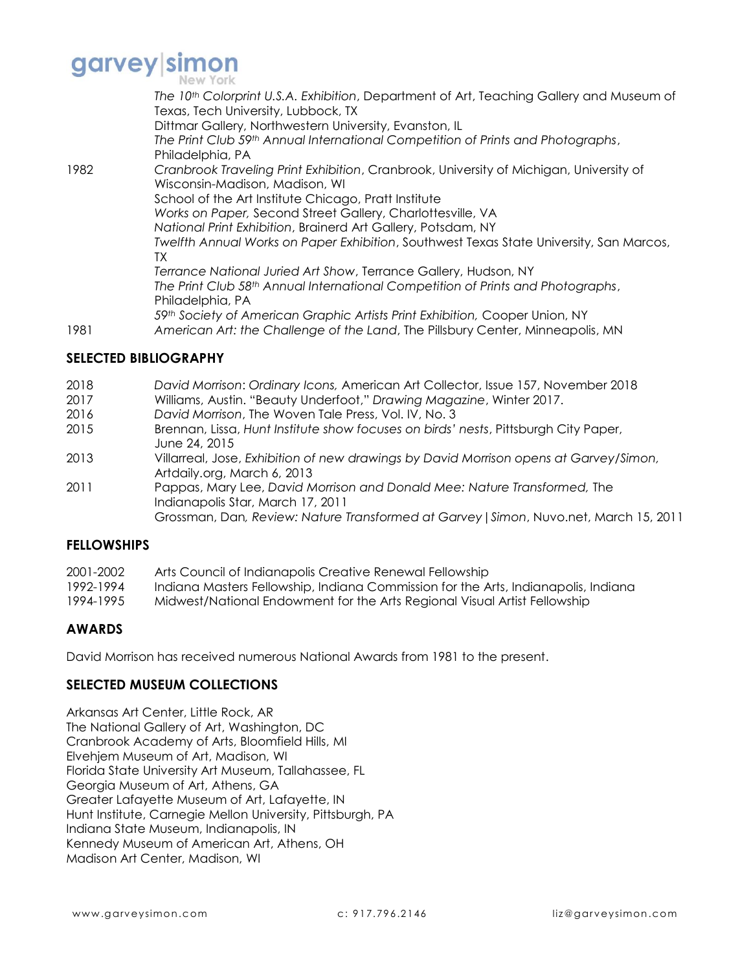

|      | The 10th Colorprint U.S.A. Exhibition, Department of Art, Teaching Gallery and Museum of<br>Texas, Tech University, Lubbock, TX<br>Dittmar Gallery, Northwestern University, Evanston, IL<br>The Print Club 59th Annual International Competition of Prints and Photographs,<br>Philadelphia, PA                                                                                                          |
|------|-----------------------------------------------------------------------------------------------------------------------------------------------------------------------------------------------------------------------------------------------------------------------------------------------------------------------------------------------------------------------------------------------------------|
| 1982 | Cranbrook Traveling Print Exhibition, Cranbrook, University of Michigan, University of<br>Wisconsin-Madison, Madison, WI<br>School of the Art Institute Chicago, Pratt Institute<br>Works on Paper, Second Street Gallery, Charlottesville, VA<br>National Print Exhibition, Brainerd Art Gallery, Potsdam, NY<br>Twelfth Annual Works on Paper Exhibition, Southwest Texas State University, San Marcos, |
| 1981 | TX<br>Terrance National Juried Art Show, Terrance Gallery, Hudson, NY<br>The Print Club 58 <sup>th</sup> Annual International Competition of Prints and Photographs,<br>Philadelphia, PA<br>59th Society of American Graphic Artists Print Exhibition, Cooper Union, NY<br>American Art: the Challenge of the Land, The Pillsbury Center, Minneapolis, MN                                                 |

### **SELECTED BIBLIOGRAPHY**

- 2018 *David Morrison*: *Ordinary Icons,* American Art Collector, Issue 157, November 2018
- 2017 Williams, Austin. "Beauty Underfoot," *Drawing Magazine*, Winter 2017.
- 2016 *David Morrison*, The Woven Tale Press, Vol. IV, No. 3
- 2015 Brennan, Lissa, *Hunt Institute show focuses on birds' nests*, Pittsburgh City Paper, June 24, 2015
- 2013 Villarreal, Jose, *Exhibition of new drawings by David Morrison opens at Garvey/Simon,*  Artdaily.org, March 6, 2013
- 2011 Pappas, Mary Lee, *David Morrison and Donald Mee: Nature Transformed,* The Indianapolis Star, March 17, 2011

#### Grossman, Dan*, Review: Nature Transformed at Garvey|Simon*, Nuvo.net, March 15, 2011

#### **FELLOWSHIPS**

| 2001-2002 | Arts Council of Indianapolis Creative Renewal Fellowship                           |
|-----------|------------------------------------------------------------------------------------|
| 1992-1994 | Indiana Masters Fellowship, Indiana Commission for the Arts, Indianapolis, Indiana |
| 1994-1995 | Midwest/National Endowment for the Arts Regional Visual Artist Fellowship          |

## **AWARDS**

David Morrison has received numerous National Awards from 1981 to the present.

#### **SELECTED MUSEUM COLLECTIONS**

Arkansas Art Center, Little Rock, AR The National Gallery of Art, Washington, DC Cranbrook Academy of Arts, Bloomfield Hills, MI Elvehjem Museum of Art, Madison, WI Florida State University Art Museum, Tallahassee, FL Georgia Museum of Art, Athens, GA Greater Lafayette Museum of Art, Lafayette, IN Hunt Institute, Carnegie Mellon University, Pittsburgh, PA Indiana State Museum, Indianapolis, IN Kennedy Museum of American Art, Athens, OH Madison Art Center, Madison, WI